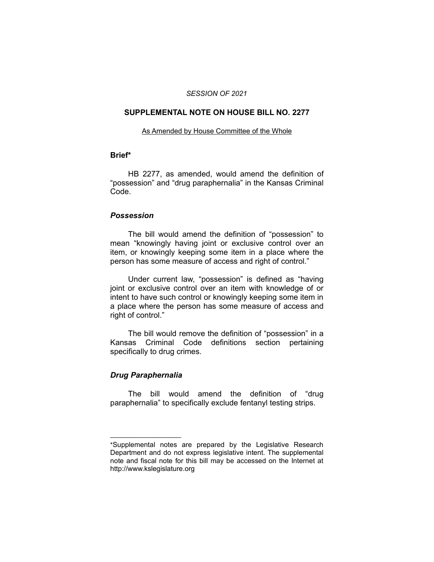#### *SESSION OF 2021*

### **SUPPLEMENTAL NOTE ON HOUSE BILL NO. 2277**

#### As Amended by House Committee of the Whole

## **Brief\***

HB 2277, as amended, would amend the definition of "possession" and "drug paraphernalia" in the Kansas Criminal Code.

#### *Possession*

The bill would amend the definition of "possession" to mean "knowingly having joint or exclusive control over an item, or knowingly keeping some item in a place where the person has some measure of access and right of control."

Under current law, "possession" is defined as "having joint or exclusive control over an item with knowledge of or intent to have such control or knowingly keeping some item in a place where the person has some measure of access and right of control."

The bill would remove the definition of "possession" in a Kansas Criminal Code definitions section pertaining specifically to drug crimes.

## *Drug Paraphernalia*

 $\overline{\phantom{a}}$  , where  $\overline{\phantom{a}}$  , where  $\overline{\phantom{a}}$ 

The bill would amend the definition of "drug paraphernalia" to specifically exclude fentanyl testing strips.

<sup>\*</sup>Supplemental notes are prepared by the Legislative Research Department and do not express legislative intent. The supplemental note and fiscal note for this bill may be accessed on the Internet at http://www.kslegislature.org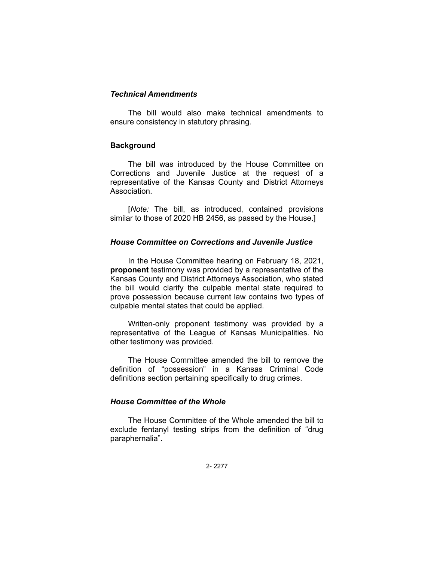#### *Technical Amendments*

The bill would also make technical amendments to ensure consistency in statutory phrasing.

#### **Background**

The bill was introduced by the House Committee on Corrections and Juvenile Justice at the request of a representative of the Kansas County and District Attorneys Association.

[*Note:* The bill, as introduced, contained provisions similar to those of 2020 HB 2456, as passed by the House.]

## *House Committee on Corrections and Juvenile Justice*

In the House Committee hearing on February 18, 2021, **proponent** testimony was provided by a representative of the Kansas County and District Attorneys Association, who stated the bill would clarify the culpable mental state required to prove possession because current law contains two types of culpable mental states that could be applied.

Written-only proponent testimony was provided by a representative of the League of Kansas Municipalities. No other testimony was provided.

The House Committee amended the bill to remove the definition of "possession" in a Kansas Criminal Code definitions section pertaining specifically to drug crimes.

#### *House Committee of the Whole*

The House Committee of the Whole amended the bill to exclude fentanyl testing strips from the definition of "drug paraphernalia".

2- 2277